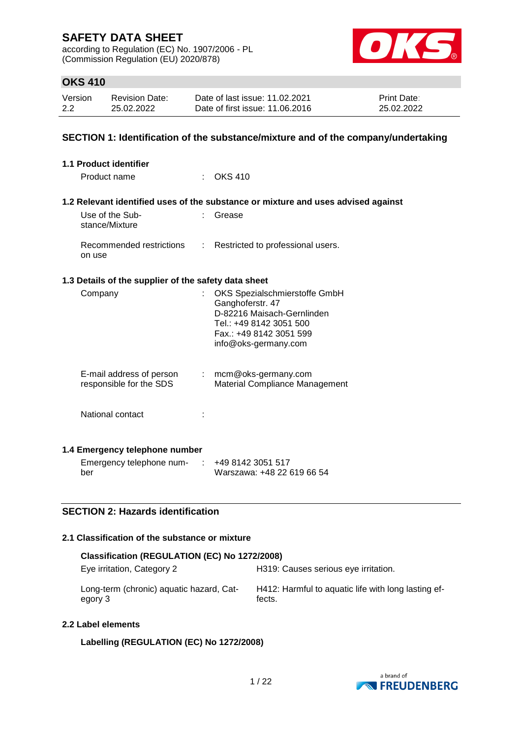according to Regulation (EC) No. 1907/2006 - PL (Commission Regulation (EU) 2020/878)



## **OKS 410**

| Version | Revision Date: | Date of last issue: 11.02.2021  | <b>Print Date:</b> |
|---------|----------------|---------------------------------|--------------------|
| 2.2     | 25.02.2022     | Date of first issue: 11.06.2016 | 25.02.2022         |

### **SECTION 1: Identification of the substance/mixture and of the company/undertaking**

| <b>1.1 Product identifier</b>                        |                                                                                                                                                               |
|------------------------------------------------------|---------------------------------------------------------------------------------------------------------------------------------------------------------------|
| Product name                                         | : OKS 410                                                                                                                                                     |
|                                                      | 1.2 Relevant identified uses of the substance or mixture and uses advised against                                                                             |
| Use of the Sub-<br>stance/Mixture                    | Grease                                                                                                                                                        |
| Recommended restrictions<br>on use                   | : Restricted to professional users.                                                                                                                           |
| 1.3 Details of the supplier of the safety data sheet |                                                                                                                                                               |
| Company                                              | OKS Spezialschmierstoffe GmbH<br>Ganghoferstr. 47<br>D-82216 Maisach-Gernlinden<br>Tel.: +49 8142 3051 500<br>Fax.: +49 8142 3051 599<br>info@oks-germany.com |
| E-mail address of person<br>responsible for the SDS  | : mcm@oks-germany.com<br>Material Compliance Management                                                                                                       |
| National contact                                     |                                                                                                                                                               |
| 1.4 Emergency telephone number                       |                                                                                                                                                               |
| Emergency telephone num-                             | +49 8142 3051 517                                                                                                                                             |

### **SECTION 2: Hazards identification**

### **2.1 Classification of the substance or mixture**

| Classification (REGULATION (EC) No 1272/2008)       |                                                               |  |  |  |  |
|-----------------------------------------------------|---------------------------------------------------------------|--|--|--|--|
| Eye irritation, Category 2                          | H319: Causes serious eye irritation.                          |  |  |  |  |
| Long-term (chronic) aquatic hazard, Cat-<br>egory 3 | H412: Harmful to aquatic life with long lasting ef-<br>fects. |  |  |  |  |

Warszawa: +48 22 619 66 54

#### **2.2 Label elements**

ber

**Labelling (REGULATION (EC) No 1272/2008)**

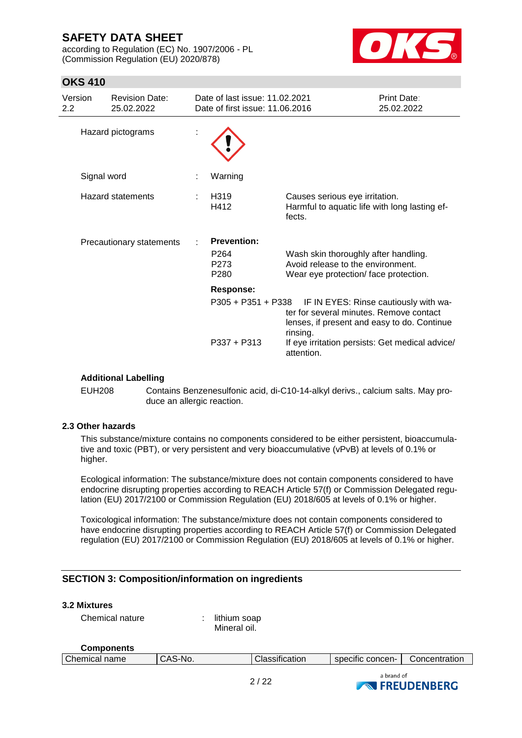according to Regulation (EC) No. 1907/2006 - PL (Commission Regulation (EU) 2020/878)



## **OKS 410**

| Version<br>$2.2\,$ | <b>Revision Date:</b><br>25.02.2022 | Date of last issue: 11.02.2021<br>Date of first issue: 11.06.2016  |                                                                                                                   | Print Date:<br>25.02.2022             |
|--------------------|-------------------------------------|--------------------------------------------------------------------|-------------------------------------------------------------------------------------------------------------------|---------------------------------------|
| Hazard pictograms  |                                     |                                                                    |                                                                                                                   |                                       |
|                    | Signal word                         | Warning                                                            |                                                                                                                   |                                       |
|                    | <b>Hazard statements</b>            | H <sub>3</sub> 19<br>H412                                          | Causes serious eye irritation.<br>Harmful to aquatic life with long lasting ef-<br>fects.                         |                                       |
|                    | Precautionary statements            | <b>Prevention:</b><br>P <sub>264</sub><br>P273<br>P <sub>280</sub> | Wash skin thoroughly after handling.<br>Avoid release to the environment.<br>Wear eye protection/face protection. |                                       |
|                    |                                     | <b>Response:</b>                                                   |                                                                                                                   |                                       |
|                    |                                     | $P305 + P351 + P338$                                               | ter for several minutes. Remove contact<br>lenses, if present and easy to do. Continue<br>rinsing.                | IF IN EYES: Rinse cautiously with wa- |
|                    |                                     | $P337 + P313$                                                      | If eye irritation persists: Get medical advice/<br>attention.                                                     |                                       |

### **Additional Labelling**

EUH208 Contains Benzenesulfonic acid, di-C10-14-alkyl derivs., calcium salts. May produce an allergic reaction.

### **2.3 Other hazards**

This substance/mixture contains no components considered to be either persistent, bioaccumulative and toxic (PBT), or very persistent and very bioaccumulative (vPvB) at levels of 0.1% or higher.

Ecological information: The substance/mixture does not contain components considered to have endocrine disrupting properties according to REACH Article 57(f) or Commission Delegated regulation (EU) 2017/2100 or Commission Regulation (EU) 2018/605 at levels of 0.1% or higher.

Toxicological information: The substance/mixture does not contain components considered to have endocrine disrupting properties according to REACH Article 57(f) or Commission Delegated regulation (EU) 2017/2100 or Commission Regulation (EU) 2018/605 at levels of 0.1% or higher.

### **SECTION 3: Composition/information on ingredients**

### **3.2 Mixtures**

Chemical nature : lithium soap

Mineral oil.

#### **Components**

| name<br>Chemical | $^{\prime}$ $\Lambda$ $\cdot$<br>`-No.<br>∽.<br>しハご | $\cdot$ .<br>لiassification | $\cdot$<br>$\sim$<br>concen-<br>SDECITIC | Concentration |
|------------------|-----------------------------------------------------|-----------------------------|------------------------------------------|---------------|
|                  |                                                     |                             |                                          |               |

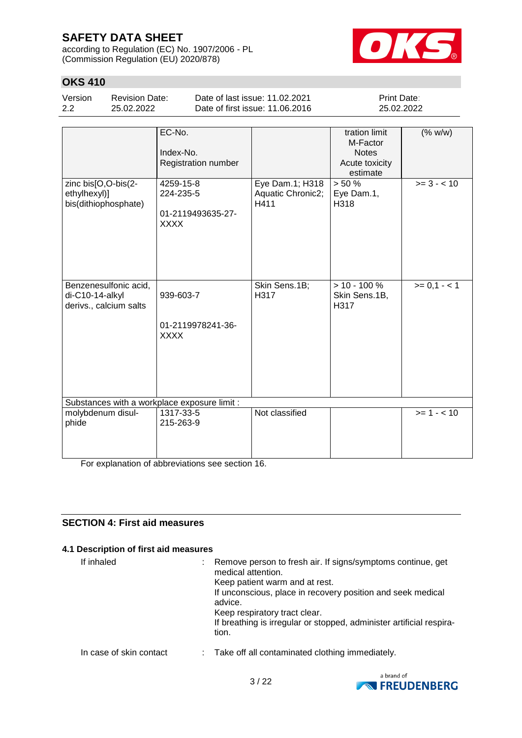according to Regulation (EC) No. 1907/2006 - PL (Commission Regulation (EU) 2020/878)



## **OKS 410**

| Version | <b>Revision Date:</b> | Date of last issue: 11.02.2021  | <b>Print Date:</b> |
|---------|-----------------------|---------------------------------|--------------------|
| 2.2     | 25.02.2022            | Date of first issue: 11.06.2016 | 25.02.2022         |

|                                                                    | EC-No.<br>Index-No.<br>Registration number          |                                              | tration limit<br>M-Factor<br><b>Notes</b><br>Acute toxicity<br>estimate | (% w/w)       |  |
|--------------------------------------------------------------------|-----------------------------------------------------|----------------------------------------------|-------------------------------------------------------------------------|---------------|--|
| zinc bis[O,O-bis(2-<br>ethylhexyl)]<br>bis(dithiophosphate)        | 4259-15-8<br>224-235-5<br>01-2119493635-27-<br>XXXX | Eye Dam.1; H318<br>Aquatic Chronic2;<br>H411 | > 50%<br>Eye Dam.1,<br>H318                                             | $>= 3 - < 10$ |  |
| Benzenesulfonic acid,<br>di-C10-14-alkyl<br>derivs., calcium salts | 939-603-7<br>01-2119978241-36-<br><b>XXXX</b>       | Skin Sens.1B;<br>H317                        | $> 10 - 100 %$<br>Skin Sens.1B,<br>H317                                 | $>= 0, 1 - 1$ |  |
| Substances with a workplace exposure limit :                       |                                                     |                                              |                                                                         |               |  |
| molybdenum disul-<br>phide                                         | 1317-33-5<br>215-263-9                              | Not classified                               |                                                                         | $>= 1 - 10$   |  |

For explanation of abbreviations see section 16.

## **SECTION 4: First aid measures**

### **4.1 Description of first aid measures**

| If inhaled              | Remove person to fresh air. If signs/symptoms continue, get<br>medical attention.<br>Keep patient warm and at rest.<br>If unconscious, place in recovery position and seek medical<br>advice.<br>Keep respiratory tract clear.<br>If breathing is irregular or stopped, administer artificial respira-<br>tion. |
|-------------------------|-----------------------------------------------------------------------------------------------------------------------------------------------------------------------------------------------------------------------------------------------------------------------------------------------------------------|
| In case of skin contact | : Take off all contaminated clothing immediately.                                                                                                                                                                                                                                                               |

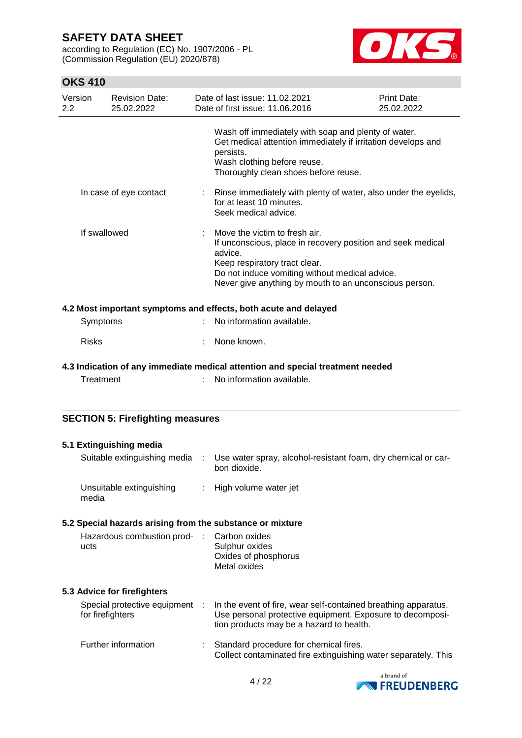according to Regulation (EC) No. 1907/2006 - PL (Commission Regulation (EU) 2020/878)



| Version<br>2.2 | <b>Revision Date:</b><br>25.02.2022                       |                | Date of last issue: 11.02.2021<br>Date of first issue: 11.06.2016                                                                                                                                                                                    | Print Date:<br>25.02.2022 |  |  |
|----------------|-----------------------------------------------------------|----------------|------------------------------------------------------------------------------------------------------------------------------------------------------------------------------------------------------------------------------------------------------|---------------------------|--|--|
|                |                                                           |                | Wash off immediately with soap and plenty of water.<br>Get medical attention immediately if irritation develops and<br>persists.<br>Wash clothing before reuse.<br>Thoroughly clean shoes before reuse.                                              |                           |  |  |
|                | In case of eye contact                                    | t.             | Rinse immediately with plenty of water, also under the eyelids,<br>for at least 10 minutes.<br>Seek medical advice.                                                                                                                                  |                           |  |  |
|                | If swallowed                                              |                | Move the victim to fresh air.<br>If unconscious, place in recovery position and seek medical<br>advice.<br>Keep respiratory tract clear.<br>Do not induce vomiting without medical advice.<br>Never give anything by mouth to an unconscious person. |                           |  |  |
|                |                                                           |                | 4.2 Most important symptoms and effects, both acute and delayed                                                                                                                                                                                      |                           |  |  |
|                | Symptoms                                                  |                | No information available.                                                                                                                                                                                                                            |                           |  |  |
| <b>Risks</b>   |                                                           |                | None known.                                                                                                                                                                                                                                          |                           |  |  |
|                |                                                           |                | 4.3 Indication of any immediate medical attention and special treatment needed                                                                                                                                                                       |                           |  |  |
|                | Treatment                                                 |                | No information available.                                                                                                                                                                                                                            |                           |  |  |
|                | <b>SECTION 5: Firefighting measures</b>                   |                |                                                                                                                                                                                                                                                      |                           |  |  |
|                | 5.1 Extinguishing media                                   |                |                                                                                                                                                                                                                                                      |                           |  |  |
|                | Suitable extinguishing media :                            |                | Use water spray, alcohol-resistant foam, dry chemical or car-<br>bon dioxide.                                                                                                                                                                        |                           |  |  |
| media          | Unsuitable extinguishing                                  | $\mathbb{Z}^n$ | High volume water jet                                                                                                                                                                                                                                |                           |  |  |
|                | 5.2 Special hazards arising from the substance or mixture |                |                                                                                                                                                                                                                                                      |                           |  |  |
| ucts           | Hazardous combustion prod-                                |                | Carbon oxides<br>Sulphur oxides<br>Oxides of phosphorus<br>Metal oxides                                                                                                                                                                              |                           |  |  |
|                | 5.3 Advice for firefighters                               |                |                                                                                                                                                                                                                                                      |                           |  |  |
|                | Special protective equipment<br>for firefighters          |                | In the event of fire, wear self-contained breathing apparatus.<br>Use personal protective equipment. Exposure to decomposi-<br>tion products may be a hazard to health.                                                                              |                           |  |  |
|                | Further information                                       |                | Standard procedure for chemical fires.<br>Collect contaminated fire extinguishing water separately. This                                                                                                                                             |                           |  |  |

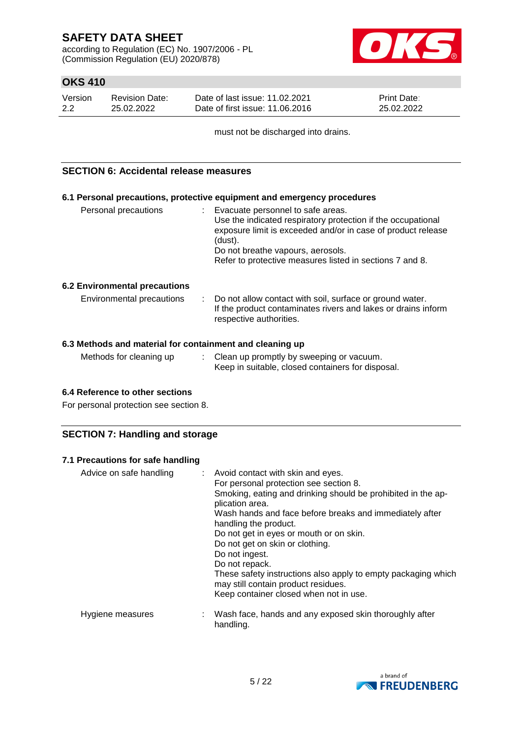according to Regulation (EC) No. 1907/2006 - PL (Commission Regulation (EU) 2020/878)



## **OKS 410**

| Version | <b>Revision Date:</b> | Date of last issue: 11.02.2021  | <b>Print Date:</b> |
|---------|-----------------------|---------------------------------|--------------------|
| 2.2     | 25.02.2022            | Date of first issue: 11.06.2016 | 25.02.2022         |

must not be discharged into drains.

### **SECTION 6: Accidental release measures**

|                                      | 6.1 Personal precautions, protective equipment and emergency procedures                                                                                                                                                                                                         |
|--------------------------------------|---------------------------------------------------------------------------------------------------------------------------------------------------------------------------------------------------------------------------------------------------------------------------------|
| Personal precautions                 | : Evacuate personnel to safe areas.<br>Use the indicated respiratory protection if the occupational<br>exposure limit is exceeded and/or in case of product release<br>(dust).<br>Do not breathe vapours, aerosols.<br>Refer to protective measures listed in sections 7 and 8. |
| <b>6.2 Environmental precautions</b> |                                                                                                                                                                                                                                                                                 |
| Environmental precautions            | : Do not allow contact with soil, surface or ground water.<br>If the product contaminates rivers and lakes or drains inform<br>respective authorities.                                                                                                                          |

### **6.3 Methods and material for containment and cleaning up**

| Methods for cleaning up | Clean up promptly by sweeping or vacuum.          |
|-------------------------|---------------------------------------------------|
|                         | Keep in suitable, closed containers for disposal. |

### **6.4 Reference to other sections**

For personal protection see section 8.

### **SECTION 7: Handling and storage**

#### **7.1 Precautions for safe handling**

| Advice on safe handling | : Avoid contact with skin and eyes.<br>For personal protection see section 8.<br>Smoking, eating and drinking should be prohibited in the ap-<br>plication area.<br>Wash hands and face before breaks and immediately after<br>handling the product.<br>Do not get in eyes or mouth or on skin.<br>Do not get on skin or clothing.<br>Do not ingest.<br>Do not repack.<br>These safety instructions also apply to empty packaging which<br>may still contain product residues.<br>Keep container closed when not in use. |
|-------------------------|--------------------------------------------------------------------------------------------------------------------------------------------------------------------------------------------------------------------------------------------------------------------------------------------------------------------------------------------------------------------------------------------------------------------------------------------------------------------------------------------------------------------------|
| Hygiene measures        | : Wash face, hands and any exposed skin thoroughly after<br>handling.                                                                                                                                                                                                                                                                                                                                                                                                                                                    |

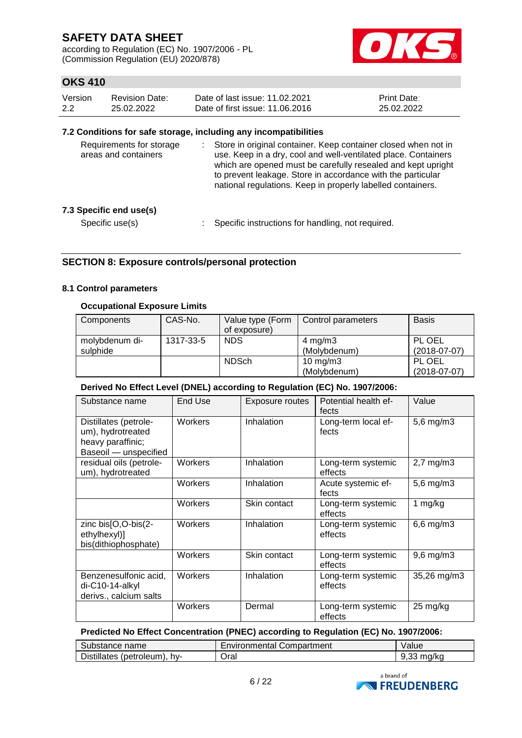according to Regulation (EC) No. 1907/2006 - PL (Commission Regulation (EU) 2020/878)



## **OKS 410**

| Version | Revision Date: | Date of last issue: 11.02.2021  | <b>Print Date:</b> |
|---------|----------------|---------------------------------|--------------------|
| 2.2     | 25.02.2022     | Date of first issue: 11,06,2016 | 25.02.2022         |

#### **7.2 Conditions for safe storage, including any incompatibilities**

| Requirements for storage<br>areas and containers | Store in original container. Keep container closed when not in<br>use. Keep in a dry, cool and well-ventilated place. Containers<br>which are opened must be carefully resealed and kept upright<br>to prevent leakage. Store in accordance with the particular<br>national regulations. Keep in properly labelled containers. |
|--------------------------------------------------|--------------------------------------------------------------------------------------------------------------------------------------------------------------------------------------------------------------------------------------------------------------------------------------------------------------------------------|
| 7.3 Specific end use(s)                          |                                                                                                                                                                                                                                                                                                                                |
| Specific use(s)                                  | Specific instructions for handling, not required.                                                                                                                                                                                                                                                                              |

### **SECTION 8: Exposure controls/personal protection**

### **8.1 Control parameters**

### **Occupational Exposure Limits**

| Components     | CAS-No.   | Value type (Form | Control parameters | <b>Basis</b>   |
|----------------|-----------|------------------|--------------------|----------------|
|                |           | of exposure)     |                    |                |
| molybdenum di- | 1317-33-5 | <b>NDS</b>       | $4 \text{ mg/m}$ 3 | PL OEL         |
| sulphide       |           |                  | (Molybdenum)       | $(2018-07-07)$ |
|                |           | <b>NDSch</b>     | 10 mg/m $3$        | PL OEL         |
|                |           |                  | (Molybdenum)       | $(2018-07-07)$ |

#### **Derived No Effect Level (DNEL) according to Regulation (EC) No. 1907/2006:**

| Substance name                                                                           | End Use | Exposure routes | Potential health ef-<br>fects | Value          |
|------------------------------------------------------------------------------------------|---------|-----------------|-------------------------------|----------------|
| Distillates (petrole-<br>um), hydrotreated<br>heavy paraffinic;<br>Baseoil - unspecified | Workers | Inhalation      | Long-term local ef-<br>fects  | $5,6$ mg/m $3$ |
| residual oils (petrole-<br>um), hydrotreated                                             | Workers | Inhalation      | Long-term systemic<br>effects | $2,7$ mg/m $3$ |
|                                                                                          | Workers | Inhalation      | Acute systemic ef-<br>fects   | $5,6$ mg/m $3$ |
|                                                                                          | Workers | Skin contact    | Long-term systemic<br>effects | 1 $mg/kg$      |
| zinc bis[O,O-bis(2-<br>ethylhexyl)]<br>bis(dithiophosphate)                              | Workers | Inhalation      | Long-term systemic<br>effects | $6,6$ mg/m $3$ |
|                                                                                          | Workers | Skin contact    | Long-term systemic<br>effects | $9,6$ mg/m $3$ |
| Benzenesulfonic acid,<br>di-C10-14-alkyl<br>derivs., calcium salts                       | Workers | Inhalation      | Long-term systemic<br>effects | 35,26 mg/m3    |
|                                                                                          | Workers | Dermal          | Long-term systemic<br>effects | 25 mg/kg       |

### **Predicted No Effect Concentration (PNEC) according to Regulation (EC) No. 1907/2006:**

| Substance name               | Environmental Compartment | Value         |
|------------------------------|---------------------------|---------------|
| Distillates (petroleum), hy- | Oral                      | ma/ko<br>9.33 |

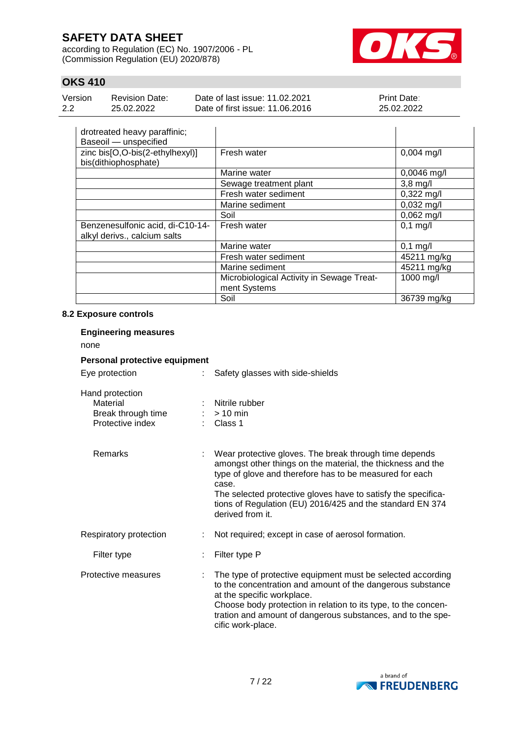according to Regulation (EC) No. 1907/2006 - PL (Commission Regulation (EU) 2020/878)



## **OKS 410**

| Version | Revision Date: | Date of last issue: 11.02.2021  | <b>Print Date:</b> |
|---------|----------------|---------------------------------|--------------------|
| 2.2     | 25.02.2022     | Date of first issue: 11.06.2016 | 25.02.2022         |

| drotreated heavy paraffinic;<br>Baseoil - unspecified            |                                                           |               |
|------------------------------------------------------------------|-----------------------------------------------------------|---------------|
| zinc bis[O,O-bis(2-ethylhexyl)]<br>bis(dithiophosphate)          | Fresh water                                               | $0,004$ mg/l  |
|                                                                  | Marine water                                              | $0,0046$ mg/l |
|                                                                  | Sewage treatment plant                                    | $3,8$ mg/l    |
|                                                                  | Fresh water sediment                                      | $0,322$ mg/l  |
|                                                                  | Marine sediment                                           | $0,032$ mg/l  |
|                                                                  | Soil                                                      | $0,062$ mg/l  |
| Benzenesulfonic acid, di-C10-14-<br>alkyl derivs., calcium salts | Fresh water                                               | $0,1$ mg/l    |
|                                                                  | Marine water                                              | $0,1$ mg/l    |
|                                                                  | Fresh water sediment                                      | 45211 mg/kg   |
|                                                                  | Marine sediment                                           | 45211 mg/kg   |
|                                                                  | Microbiological Activity in Sewage Treat-<br>ment Systems | 1000 mg/l     |
|                                                                  | Soil                                                      | 36739 mg/kg   |

### **8.2 Exposure controls**

| <b>Engineering measures</b><br>none                                   |                               |                                                                                                                                                                                                                                                                                                                                             |  |  |  |  |
|-----------------------------------------------------------------------|-------------------------------|---------------------------------------------------------------------------------------------------------------------------------------------------------------------------------------------------------------------------------------------------------------------------------------------------------------------------------------------|--|--|--|--|
|                                                                       | Personal protective equipment |                                                                                                                                                                                                                                                                                                                                             |  |  |  |  |
| Eye protection                                                        | $\mathbb{R}^{\mathbb{Z}}$     | Safety glasses with side-shields                                                                                                                                                                                                                                                                                                            |  |  |  |  |
| Hand protection<br>Material<br>Break through time<br>Protective index |                               | Nitrile rubber<br>$:$ > 10 min<br>Class 1                                                                                                                                                                                                                                                                                                   |  |  |  |  |
| Remarks                                                               |                               | Wear protective gloves. The break through time depends<br>amongst other things on the material, the thickness and the<br>type of glove and therefore has to be measured for each<br>case.<br>The selected protective gloves have to satisfy the specifica-<br>tions of Regulation (EU) 2016/425 and the standard EN 374<br>derived from it. |  |  |  |  |
| Respiratory protection                                                |                               | Not required; except in case of aerosol formation.                                                                                                                                                                                                                                                                                          |  |  |  |  |
| Filter type                                                           |                               | Filter type P                                                                                                                                                                                                                                                                                                                               |  |  |  |  |
| Protective measures                                                   |                               | The type of protective equipment must be selected according<br>to the concentration and amount of the dangerous substance<br>at the specific workplace.<br>Choose body protection in relation to its type, to the concen-<br>tration and amount of dangerous substances, and to the spe-<br>cific work-place.                               |  |  |  |  |

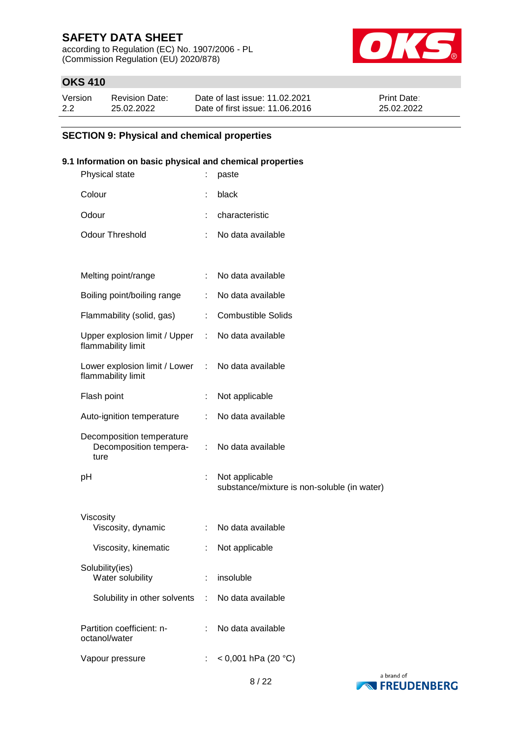according to Regulation (EC) No. 1907/2006 - PL (Commission Regulation (EU) 2020/878)



## **OKS 410**

| Version | <b>Revision Date:</b> | Date of last issue: 11.02.2021  | <b>Print Date:</b> |
|---------|-----------------------|---------------------------------|--------------------|
| 2.2     | 25.02.2022            | Date of first issue: 11.06.2016 | 25.02.2022         |

### **SECTION 9: Physical and chemical properties**

### **9.1 Information on basic physical and chemical properties**

| Physical state                                              |    | paste                                                         |
|-------------------------------------------------------------|----|---------------------------------------------------------------|
| Colour                                                      | ÷  | black                                                         |
| Odour                                                       |    | characteristic                                                |
| <b>Odour Threshold</b>                                      |    | No data available                                             |
|                                                             |    |                                                               |
| Melting point/range                                         | ÷  | No data available                                             |
| Boiling point/boiling range                                 | ÷  | No data available                                             |
| Flammability (solid, gas)                                   | ÷. | <b>Combustible Solids</b>                                     |
| Upper explosion limit / Upper :<br>flammability limit       |    | No data available                                             |
| Lower explosion limit / Lower :<br>flammability limit       |    | No data available                                             |
| Flash point                                                 | t  | Not applicable                                                |
| Auto-ignition temperature                                   | ÷  | No data available                                             |
| Decomposition temperature<br>Decomposition tempera-<br>ture | ÷. | No data available                                             |
| рH                                                          | ÷  | Not applicable<br>substance/mixture is non-soluble (in water) |
| Viscosity<br>Viscosity, dynamic                             |    | No data available                                             |
| Viscosity, kinematic                                        |    | Not applicable                                                |
| Solubility(ies)<br>Water solubility                         | ÷  | insoluble                                                     |
| Solubility in other solvents                                | ÷  | No data available                                             |
| Partition coefficient: n-<br>octanol/water                  |    | No data available                                             |
| Vapour pressure                                             |    | < 0,001 hPa (20 °C)                                           |
|                                                             |    |                                                               |

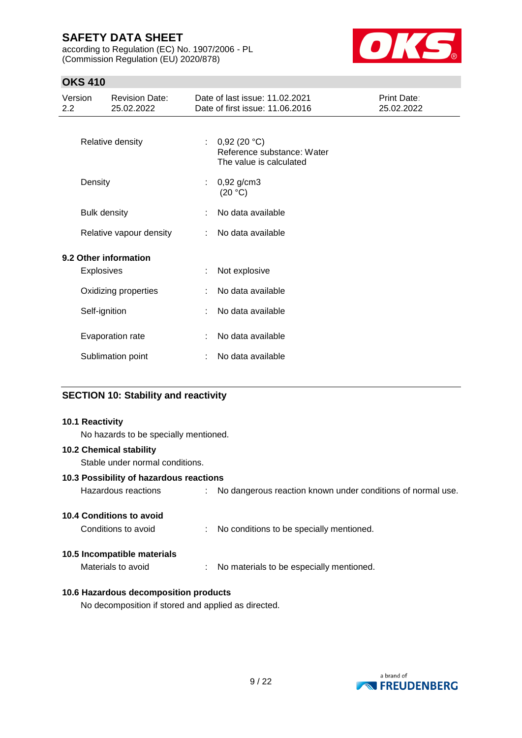according to Regulation (EC) No. 1907/2006 - PL (Commission Regulation (EU) 2020/878)



## **OKS 410**

| Version<br><b>Revision Date:</b><br>25.02.2022<br>$2.2\phantom{0}$ |                     | Date of last issue: 11.02.2021<br>Print Date:<br>Date of first issue: 11.06.2016<br>25.02.2022 |    |                                                                      |  |
|--------------------------------------------------------------------|---------------------|------------------------------------------------------------------------------------------------|----|----------------------------------------------------------------------|--|
|                                                                    |                     | Relative density                                                                               |    | 0,92(20 °C)<br>Reference substance: Water<br>The value is calculated |  |
|                                                                    | Density             |                                                                                                | ÷. | $0,92$ g/cm3<br>(20 °C)                                              |  |
|                                                                    | <b>Bulk density</b> |                                                                                                |    | No data available                                                    |  |
|                                                                    |                     | Relative vapour density                                                                        | ÷. | No data available                                                    |  |
|                                                                    |                     | 9.2 Other information                                                                          |    |                                                                      |  |
|                                                                    | <b>Explosives</b>   |                                                                                                |    | Not explosive                                                        |  |
|                                                                    |                     | Oxidizing properties                                                                           |    | No data available                                                    |  |
|                                                                    | Self-ignition       |                                                                                                |    | No data available                                                    |  |
|                                                                    |                     | Evaporation rate                                                                               |    | No data available                                                    |  |
|                                                                    |                     | Sublimation point                                                                              |    | No data available                                                    |  |
|                                                                    |                     |                                                                                                |    |                                                                      |  |

### **SECTION 10: Stability and reactivity**

#### **10.1 Reactivity**

No hazards to be specially mentioned.

#### **10.2 Chemical stability**

Stable under normal conditions.

### **10.3 Possibility of hazardous reactions**

Hazardous reactions : No dangerous reaction known under conditions of normal use.

### **10.4 Conditions to avoid**

Conditions to avoid : No conditions to be specially mentioned.

### **10.5 Incompatible materials**

Materials to avoid : No materials to be especially mentioned.

### **10.6 Hazardous decomposition products**

No decomposition if stored and applied as directed.

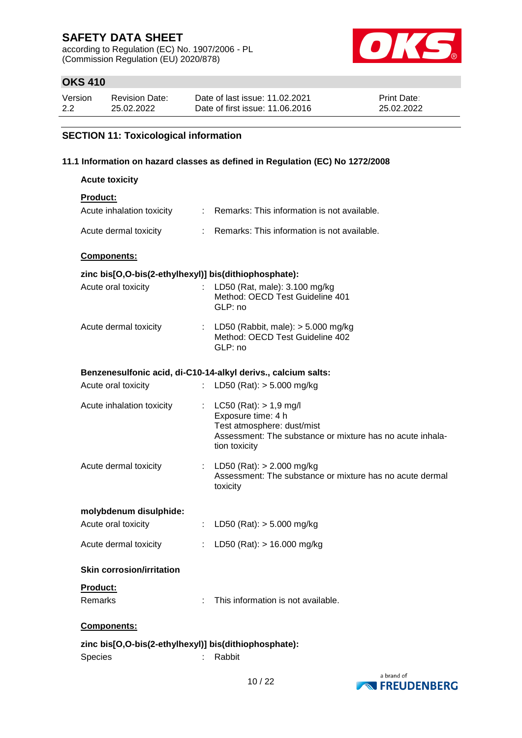according to Regulation (EC) No. 1907/2006 - PL (Commission Regulation (EU) 2020/878)



## **OKS 410**

| Version | <b>Revision Date:</b> | Date of last issue: 11.02.2021  | <b>Print Date:</b> |
|---------|-----------------------|---------------------------------|--------------------|
| 2.2     | 25.02.2022            | Date of first issue: 11.06.2016 | 25.02.2022         |

### **SECTION 11: Toxicological information**

### **11.1 Information on hazard classes as defined in Regulation (EC) No 1272/2008**

| <b>Acute toxicity</b>                                 |    |                                                                                                                                                              |  |  |  |
|-------------------------------------------------------|----|--------------------------------------------------------------------------------------------------------------------------------------------------------------|--|--|--|
| <b>Product:</b>                                       |    |                                                                                                                                                              |  |  |  |
| Acute inhalation toxicity                             |    | : Remarks: This information is not available.                                                                                                                |  |  |  |
| Acute dermal toxicity                                 |    | : Remarks: This information is not available.                                                                                                                |  |  |  |
| Components:                                           |    |                                                                                                                                                              |  |  |  |
| zinc bis[O,O-bis(2-ethylhexyl)] bis(dithiophosphate): |    |                                                                                                                                                              |  |  |  |
| Acute oral toxicity                                   |    | LD50 (Rat, male): 3.100 mg/kg<br>Method: OECD Test Guideline 401<br>GLP: no                                                                                  |  |  |  |
| Acute dermal toxicity                                 |    | : LD50 (Rabbit, male): $>$ 5.000 mg/kg<br>Method: OECD Test Guideline 402<br>GLP: no                                                                         |  |  |  |
|                                                       |    | Benzenesulfonic acid, di-C10-14-alkyl derivs., calcium salts:                                                                                                |  |  |  |
| Acute oral toxicity                                   |    | : LD50 (Rat): $> 5.000$ mg/kg                                                                                                                                |  |  |  |
|                                                       |    |                                                                                                                                                              |  |  |  |
| Acute inhalation toxicity                             |    | : $LC50 (Rat): > 1.9 mg/l$<br>Exposure time: 4 h<br>Test atmosphere: dust/mist<br>Assessment: The substance or mixture has no acute inhala-<br>tion toxicity |  |  |  |
| Acute dermal toxicity                                 |    | : LD50 (Rat): $> 2.000$ mg/kg<br>Assessment: The substance or mixture has no acute dermal<br>toxicity                                                        |  |  |  |
| molybdenum disulphide:                                |    |                                                                                                                                                              |  |  |  |
| Acute oral toxicity                                   |    | : LD50 (Rat): $>$ 5.000 mg/kg                                                                                                                                |  |  |  |
| Acute dermal toxicity                                 | ÷. | LD50 (Rat): $> 16.000$ mg/kg                                                                                                                                 |  |  |  |
| <b>Skin corrosion/irritation</b>                      |    |                                                                                                                                                              |  |  |  |
| Product:                                              |    |                                                                                                                                                              |  |  |  |
| Remarks                                               |    | This information is not available.                                                                                                                           |  |  |  |
| Components:                                           |    |                                                                                                                                                              |  |  |  |
| zinc bis[O,O-bis(2-ethylhexyl)] bis(dithiophosphate): |    |                                                                                                                                                              |  |  |  |
| Species                                               |    | Rabbit                                                                                                                                                       |  |  |  |

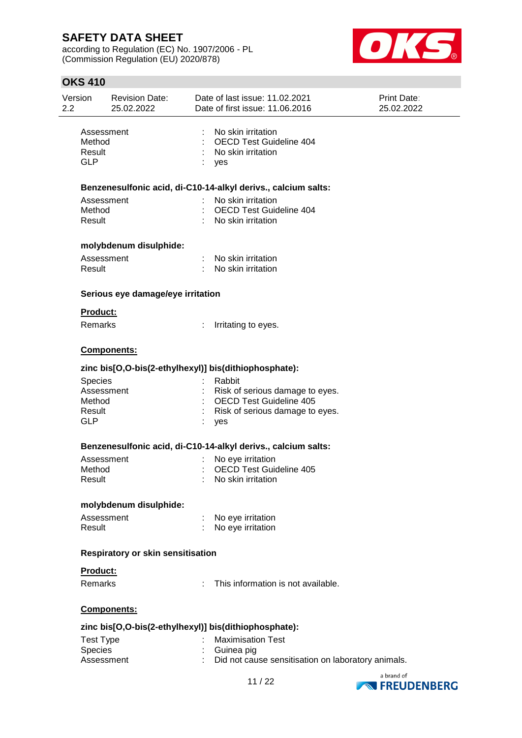according to Regulation (EC) No. 1907/2006 - PL (Commission Regulation (EU) 2020/878)



| Version<br>$2.2\phantom{0}$    | Revision Date:<br>25.02.2022                                  | Date of last issue: 11.02.2021<br>Date of first issue: 11.06.2016                 | <b>Print Date:</b><br>25.02.2022 |  |  |  |  |  |
|--------------------------------|---------------------------------------------------------------|-----------------------------------------------------------------------------------|----------------------------------|--|--|--|--|--|
| Method<br>Result<br><b>GLP</b> | Assessment                                                    | No skin irritation<br><b>OECD Test Guideline 404</b><br>No skin irritation<br>yes |                                  |  |  |  |  |  |
|                                | Benzenesulfonic acid, di-C10-14-alkyl derivs., calcium salts: |                                                                                   |                                  |  |  |  |  |  |
|                                | Assessment                                                    | No skin irritation                                                                |                                  |  |  |  |  |  |
| Method<br>Result               |                                                               | <b>OECD Test Guideline 404</b><br>No skin irritation                              |                                  |  |  |  |  |  |
|                                | molybdenum disulphide:                                        |                                                                                   |                                  |  |  |  |  |  |
| Result                         | Assessment                                                    | No skin irritation<br>No skin irritation                                          |                                  |  |  |  |  |  |
|                                | Serious eye damage/eye irritation                             |                                                                                   |                                  |  |  |  |  |  |
|                                | Product:                                                      |                                                                                   |                                  |  |  |  |  |  |
|                                | Remarks                                                       | Irritating to eyes.                                                               |                                  |  |  |  |  |  |
|                                | Components:                                                   |                                                                                   |                                  |  |  |  |  |  |
|                                |                                                               | zinc bis[O,O-bis(2-ethylhexyl)] bis(dithiophosphate):                             |                                  |  |  |  |  |  |
|                                | <b>Species</b>                                                | Rabbit                                                                            |                                  |  |  |  |  |  |
| Method                         | Assessment                                                    | Risk of serious damage to eyes.<br><b>OECD Test Guideline 405</b>                 |                                  |  |  |  |  |  |
| Result                         |                                                               | Risk of serious damage to eyes.                                                   |                                  |  |  |  |  |  |
| <b>GLP</b>                     |                                                               | yes                                                                               |                                  |  |  |  |  |  |
|                                |                                                               | Benzenesulfonic acid, di-C10-14-alkyl derivs., calcium salts:                     |                                  |  |  |  |  |  |
|                                | Assessment                                                    | No eye irritation                                                                 |                                  |  |  |  |  |  |
| Method                         |                                                               | <b>OECD Test Guideline 405</b>                                                    |                                  |  |  |  |  |  |
| Result                         |                                                               | No skin irritation                                                                |                                  |  |  |  |  |  |
|                                | molybdenum disulphide:                                        |                                                                                   |                                  |  |  |  |  |  |
|                                | Assessment                                                    | No eye irritation                                                                 |                                  |  |  |  |  |  |
| Result                         |                                                               | No eye irritation                                                                 |                                  |  |  |  |  |  |
|                                | Respiratory or skin sensitisation                             |                                                                                   |                                  |  |  |  |  |  |
|                                | Product:                                                      |                                                                                   |                                  |  |  |  |  |  |
|                                | Remarks                                                       | This information is not available.                                                |                                  |  |  |  |  |  |
|                                | Components:                                                   |                                                                                   |                                  |  |  |  |  |  |
|                                |                                                               | zinc bis[O,O-bis(2-ethylhexyl)] bis(dithiophosphate):                             |                                  |  |  |  |  |  |
|                                | <b>Test Type</b>                                              | <b>Maximisation Test</b>                                                          |                                  |  |  |  |  |  |
|                                | Species<br>Assessment                                         | Guinea pig                                                                        |                                  |  |  |  |  |  |
|                                |                                                               | Did not cause sensitisation on laboratory animals.                                |                                  |  |  |  |  |  |
|                                |                                                               |                                                                                   | a brand of                       |  |  |  |  |  |



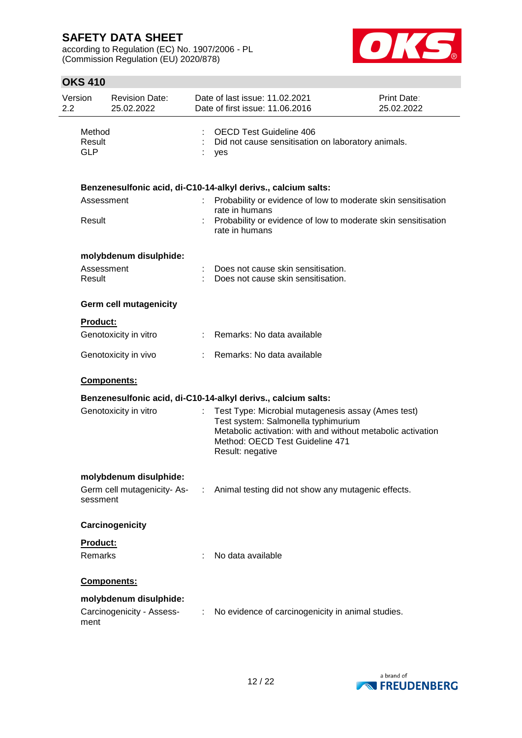according to Regulation (EC) No. 1907/2006 - PL (Commission Regulation (EU) 2020/878)



| Version<br>2.2 |                                | <b>Revision Date:</b><br>25.02.2022 |    | Date of last issue: 11.02.2021<br>Date of first issue: 11.06.2016                                                                                                                                               | Print Date:<br>25.02.2022 |
|----------------|--------------------------------|-------------------------------------|----|-----------------------------------------------------------------------------------------------------------------------------------------------------------------------------------------------------------------|---------------------------|
|                | Method<br>Result<br><b>GLP</b> |                                     |    | <b>OECD Test Guideline 406</b><br>Did not cause sensitisation on laboratory animals.<br>yes                                                                                                                     |                           |
|                |                                |                                     |    | Benzenesulfonic acid, di-C10-14-alkyl derivs., calcium salts:                                                                                                                                                   |                           |
|                | Assessment                     |                                     |    | Probability or evidence of low to moderate skin sensitisation<br>rate in humans                                                                                                                                 |                           |
|                | Result                         |                                     |    | Probability or evidence of low to moderate skin sensitisation<br>rate in humans                                                                                                                                 |                           |
|                |                                | molybdenum disulphide:              |    |                                                                                                                                                                                                                 |                           |
|                | Assessment<br>Result           |                                     |    | Does not cause skin sensitisation.<br>Does not cause skin sensitisation.                                                                                                                                        |                           |
|                |                                | <b>Germ cell mutagenicity</b>       |    |                                                                                                                                                                                                                 |                           |
|                | <b>Product:</b>                |                                     |    |                                                                                                                                                                                                                 |                           |
|                |                                | Genotoxicity in vitro               | t. | Remarks: No data available                                                                                                                                                                                      |                           |
|                |                                | Genotoxicity in vivo                |    | Remarks: No data available                                                                                                                                                                                      |                           |
|                |                                | Components:                         |    |                                                                                                                                                                                                                 |                           |
|                |                                |                                     |    | Benzenesulfonic acid, di-C10-14-alkyl derivs., calcium salts:                                                                                                                                                   |                           |
|                |                                | Genotoxicity in vitro               |    | Test Type: Microbial mutagenesis assay (Ames test)<br>Test system: Salmonella typhimurium<br>Metabolic activation: with and without metabolic activation<br>Method: OECD Test Guideline 471<br>Result: negative |                           |
|                |                                | molybdenum disulphide:              |    |                                                                                                                                                                                                                 |                           |
|                | sessment                       | Germ cell mutagenicity- As-         |    | Animal testing did not show any mutagenic effects.                                                                                                                                                              |                           |
|                |                                | Carcinogenicity                     |    |                                                                                                                                                                                                                 |                           |
|                | Product:                       |                                     |    |                                                                                                                                                                                                                 |                           |
|                | Remarks                        |                                     |    | No data available                                                                                                                                                                                               |                           |
|                |                                | Components:                         |    |                                                                                                                                                                                                                 |                           |
|                |                                | molybdenum disulphide:              |    |                                                                                                                                                                                                                 |                           |
|                | ment                           | Carcinogenicity - Assess-           |    | No evidence of carcinogenicity in animal studies.                                                                                                                                                               |                           |

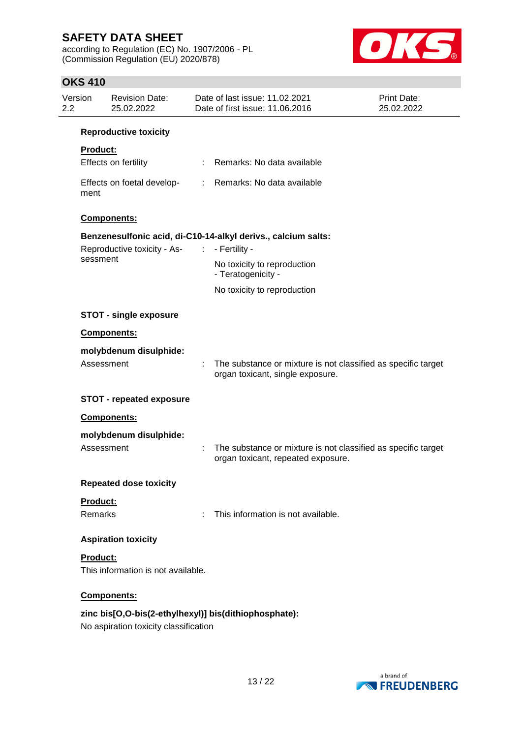according to Regulation (EC) No. 1907/2006 - PL (Commission Regulation (EU) 2020/878)



| Version<br>2.2 | <b>Revision Date:</b><br>25.02.2022   | Date of last issue: 11.02.2021<br>Date of first issue: 11.06.2016                                   | <b>Print Date:</b><br>25.02.2022 |
|----------------|---------------------------------------|-----------------------------------------------------------------------------------------------------|----------------------------------|
|                | <b>Reproductive toxicity</b>          |                                                                                                     |                                  |
| Product:       |                                       |                                                                                                     |                                  |
|                | Effects on fertility                  | : Remarks: No data available                                                                        |                                  |
| ment           | Effects on foetal develop-            | : Remarks: No data available                                                                        |                                  |
|                | Components:                           |                                                                                                     |                                  |
|                |                                       | Benzenesulfonic acid, di-C10-14-alkyl derivs., calcium salts:                                       |                                  |
|                | Reproductive toxicity - As-           | - Fertility -                                                                                       |                                  |
| sessment       |                                       | No toxicity to reproduction<br>- Teratogenicity -                                                   |                                  |
|                |                                       | No toxicity to reproduction                                                                         |                                  |
|                | <b>STOT - single exposure</b>         |                                                                                                     |                                  |
|                | <b>Components:</b>                    |                                                                                                     |                                  |
|                | molybdenum disulphide:                |                                                                                                     |                                  |
|                | Assessment                            | The substance or mixture is not classified as specific target<br>organ toxicant, single exposure.   |                                  |
|                | <b>STOT - repeated exposure</b>       |                                                                                                     |                                  |
|                | Components:                           |                                                                                                     |                                  |
|                | molybdenum disulphide:                |                                                                                                     |                                  |
|                | Assessment                            | The substance or mixture is not classified as specific target<br>organ toxicant, repeated exposure. |                                  |
|                | <b>Repeated dose toxicity</b>         |                                                                                                     |                                  |
| Product:       |                                       |                                                                                                     |                                  |
| Remarks        |                                       | This information is not available.                                                                  |                                  |
|                | <b>Aspiration toxicity</b>            |                                                                                                     |                                  |
| Product:       |                                       |                                                                                                     |                                  |
|                | This information is not available.    |                                                                                                     |                                  |
|                | Components:                           |                                                                                                     |                                  |
|                |                                       | zinc bis[O,O-bis(2-ethylhexyl)] bis(dithiophosphate):                                               |                                  |
|                | No aspiration toxicity classification |                                                                                                     |                                  |

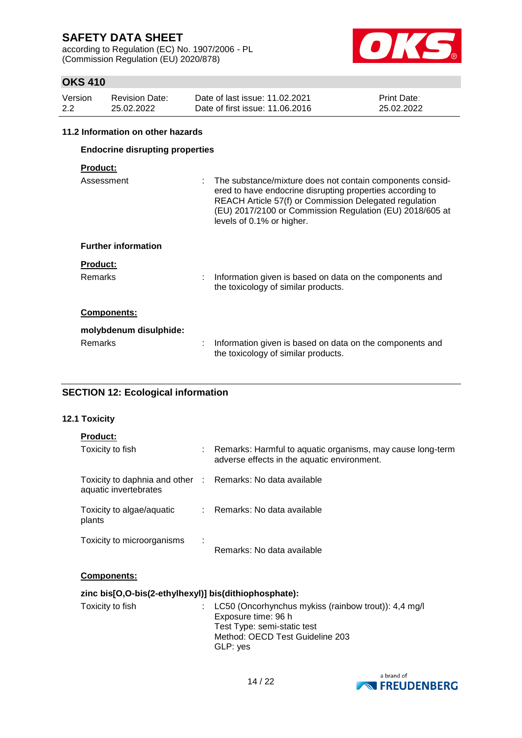according to Regulation (EC) No. 1907/2006 - PL (Commission Regulation (EU) 2020/878)



## **OKS 410**

| Version | Revision Date: | Date of last issue: 11.02.2021  | <b>Print Date:</b> |
|---------|----------------|---------------------------------|--------------------|
| 2.2     | 25.02.2022     | Date of first issue: 11,06,2016 | 25.02.2022         |

#### **11.2 Information on other hazards**

| <b>Endocrine disrupting properties</b> |                                                                                                                                                                                                                                                                             |  |  |  |  |
|----------------------------------------|-----------------------------------------------------------------------------------------------------------------------------------------------------------------------------------------------------------------------------------------------------------------------------|--|--|--|--|
| <b>Product:</b>                        |                                                                                                                                                                                                                                                                             |  |  |  |  |
| Assessment                             | : The substance/mixture does not contain components consid-<br>ered to have endocrine disrupting properties according to<br>REACH Article 57(f) or Commission Delegated regulation<br>(EU) 2017/2100 or Commission Regulation (EU) 2018/605 at<br>levels of 0.1% or higher. |  |  |  |  |
| <b>Further information</b>             |                                                                                                                                                                                                                                                                             |  |  |  |  |
| <b>Product:</b><br><b>Remarks</b>      | Information given is based on data on the components and                                                                                                                                                                                                                    |  |  |  |  |
|                                        | the toxicology of similar products.                                                                                                                                                                                                                                         |  |  |  |  |
| <b>Components:</b>                     |                                                                                                                                                                                                                                                                             |  |  |  |  |
| molybdenum disulphide:                 |                                                                                                                                                                                                                                                                             |  |  |  |  |
| Remarks                                | Information given is based on data on the components and<br>the toxicology of similar products.                                                                                                                                                                             |  |  |  |  |

### **SECTION 12: Ecological information**

### **12.1 Toxicity**

| <b>Product:</b>                                                                     |      |                                                                                                           |
|-------------------------------------------------------------------------------------|------|-----------------------------------------------------------------------------------------------------------|
| Toxicity to fish                                                                    |      | Remarks: Harmful to aquatic organisms, may cause long-term<br>adverse effects in the aquatic environment. |
| Toxicity to daphnia and other : Remarks: No data available<br>aquatic invertebrates |      |                                                                                                           |
| Toxicity to algae/aquatic<br>plants                                                 |      | : Remarks: No data available                                                                              |
| Toxicity to microorganisms                                                          | - 11 | Remarks: No data available                                                                                |

### **Components:**

|  |  | zinc bis[O,O-bis(2-ethylhexyl)] bis(dithiophosphate): |
|--|--|-------------------------------------------------------|
|--|--|-------------------------------------------------------|

| Toxicity to fish | : LC50 (Oncorhynchus mykiss (rainbow trout)): 4,4 mg/l<br>Exposure time: 96 h<br>Test Type: semi-static test<br>Method: OECD Test Guideline 203<br>GLP: yes |
|------------------|-------------------------------------------------------------------------------------------------------------------------------------------------------------|
|                  |                                                                                                                                                             |

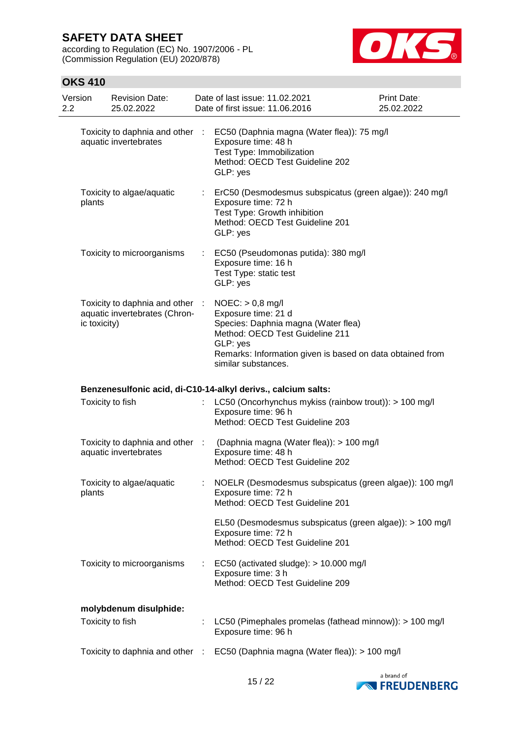according to Regulation (EC) No. 1907/2006 - PL (Commission Regulation (EU) 2020/878)



| Version<br>2.2 |              | <b>Revision Date:</b><br>25.02.2022                              |                           | Date of last issue: 11.02.2021<br>Date of first issue: 11.06.2016                                                                                                                                                   | Print Date:<br>25.02.2022 |
|----------------|--------------|------------------------------------------------------------------|---------------------------|---------------------------------------------------------------------------------------------------------------------------------------------------------------------------------------------------------------------|---------------------------|
|                |              | Toxicity to daphnia and other<br>aquatic invertebrates           | $\sim$ 10 $\,$            | EC50 (Daphnia magna (Water flea)): 75 mg/l<br>Exposure time: 48 h<br>Test Type: Immobilization<br>Method: OECD Test Guideline 202<br>GLP: yes                                                                       |                           |
|                | plants       | Toxicity to algae/aquatic                                        |                           | ErC50 (Desmodesmus subspicatus (green algae)): 240 mg/l<br>Exposure time: 72 h<br>Test Type: Growth inhibition<br>Method: OECD Test Guideline 201<br>GLP: yes                                                       |                           |
|                |              | Toxicity to microorganisms                                       | $\mathbb{Z}^{\mathbb{Z}}$ | EC50 (Pseudomonas putida): 380 mg/l<br>Exposure time: 16 h<br>Test Type: static test<br>GLP: yes                                                                                                                    |                           |
|                | ic toxicity) | Toxicity to daphnia and other :<br>aquatic invertebrates (Chron- |                           | $NOEC:$ > 0,8 mg/l<br>Exposure time: 21 d<br>Species: Daphnia magna (Water flea)<br>Method: OECD Test Guideline 211<br>GLP: yes<br>Remarks: Information given is based on data obtained from<br>similar substances. |                           |
|                |              |                                                                  |                           | Benzenesulfonic acid, di-C10-14-alkyl derivs., calcium salts:                                                                                                                                                       |                           |
|                |              | Toxicity to fish                                                 |                           | LC50 (Oncorhynchus mykiss (rainbow trout)): > 100 mg/l<br>Exposure time: 96 h<br>Method: OECD Test Guideline 203                                                                                                    |                           |
|                |              | Toxicity to daphnia and other :<br>aquatic invertebrates         |                           | (Daphnia magna (Water flea)): > 100 mg/l<br>Exposure time: 48 h<br>Method: OECD Test Guideline 202                                                                                                                  |                           |
|                | plants       | Toxicity to algae/aquatic                                        |                           | NOELR (Desmodesmus subspicatus (green algae)): 100 mg/l<br>Exposure time: 72 h<br>Method: OECD Test Guideline 201                                                                                                   |                           |
|                |              |                                                                  |                           | EL50 (Desmodesmus subspicatus (green algae)): > 100 mg/l<br>Exposure time: 72 h<br>Method: OECD Test Guideline 201                                                                                                  |                           |
|                |              | Toxicity to microorganisms                                       |                           | EC50 (activated sludge): > 10.000 mg/l<br>Exposure time: 3 h<br>Method: OECD Test Guideline 209                                                                                                                     |                           |
|                |              | molybdenum disulphide:                                           |                           |                                                                                                                                                                                                                     |                           |
|                |              | Toxicity to fish                                                 |                           | LC50 (Pimephales promelas (fathead minnow)): > 100 mg/l<br>Exposure time: 96 h                                                                                                                                      |                           |
|                |              |                                                                  |                           | Toxicity to daphnia and other : EC50 (Daphnia magna (Water flea)): > 100 mg/l                                                                                                                                       |                           |

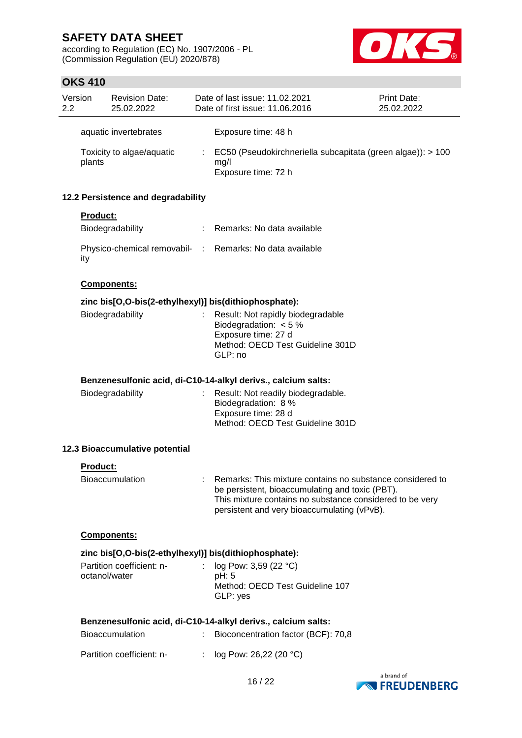according to Regulation (EC) No. 1907/2006 - PL (Commission Regulation (EU) 2020/878)



| Version<br>2.2 |                 | <b>Revision Date:</b><br>25.02.2022 |                            | Date of last issue: 11.02.2021<br>Date of first issue: 11.06.2016                                                                                                                                                       | <b>Print Date:</b><br>25.02.2022 |
|----------------|-----------------|-------------------------------------|----------------------------|-------------------------------------------------------------------------------------------------------------------------------------------------------------------------------------------------------------------------|----------------------------------|
|                |                 | aquatic invertebrates               |                            | Exposure time: 48 h                                                                                                                                                                                                     |                                  |
|                | plants          | Toxicity to algae/aquatic           |                            | EC50 (Pseudokirchneriella subcapitata (green algae)): > 100<br>mg/l<br>Exposure time: 72 h                                                                                                                              |                                  |
|                |                 | 12.2 Persistence and degradability  |                            |                                                                                                                                                                                                                         |                                  |
|                | <b>Product:</b> |                                     |                            |                                                                                                                                                                                                                         |                                  |
|                |                 | Biodegradability                    | ÷                          | Remarks: No data available                                                                                                                                                                                              |                                  |
|                | ity             |                                     |                            | Physico-chemical removabil- : Remarks: No data available                                                                                                                                                                |                                  |
|                |                 | <b>Components:</b>                  |                            |                                                                                                                                                                                                                         |                                  |
|                |                 |                                     |                            | zinc bis[O,O-bis(2-ethylhexyl)] bis(dithiophosphate):                                                                                                                                                                   |                                  |
|                |                 | Biodegradability                    |                            | Result: Not rapidly biodegradable<br>Biodegradation: $< 5 \%$<br>Exposure time: 27 d<br>Method: OECD Test Guideline 301D                                                                                                |                                  |
|                |                 |                                     |                            | GLP: no                                                                                                                                                                                                                 |                                  |
|                |                 |                                     |                            | Benzenesulfonic acid, di-C10-14-alkyl derivs., calcium salts:                                                                                                                                                           |                                  |
|                |                 | Biodegradability                    |                            | Result: Not readily biodegradable.<br>Biodegradation: 8 %<br>Exposure time: 28 d<br>Method: OECD Test Guideline 301D                                                                                                    |                                  |
|                |                 | 12.3 Bioaccumulative potential      |                            |                                                                                                                                                                                                                         |                                  |
|                | Product:        |                                     |                            |                                                                                                                                                                                                                         |                                  |
|                |                 | <b>Bioaccumulation</b>              |                            | Remarks: This mixture contains no substance considered to<br>be persistent, bioaccumulating and toxic (PBT).<br>This mixture contains no substance considered to be very<br>persistent and very bioaccumulating (vPvB). |                                  |
|                |                 | Components:                         |                            |                                                                                                                                                                                                                         |                                  |
|                |                 |                                     |                            | zinc bis[O,O-bis(2-ethylhexyl)] bis(dithiophosphate):                                                                                                                                                                   |                                  |
|                | octanol/water   | Partition coefficient: n-           | $\mathcal{L}^{\text{max}}$ | log Pow: 3,59 (22 °C)<br>pH: 5<br>Method: OECD Test Guideline 107                                                                                                                                                       |                                  |
|                |                 |                                     |                            | GLP: yes                                                                                                                                                                                                                |                                  |
|                |                 |                                     |                            | Benzenesulfonic acid, di-C10-14-alkyl derivs., calcium salts:                                                                                                                                                           |                                  |
|                |                 | <b>Bioaccumulation</b>              |                            | Bioconcentration factor (BCF): 70,8                                                                                                                                                                                     |                                  |
|                |                 | Partition coefficient: n-           |                            | log Pow: 26,22 (20 °C)                                                                                                                                                                                                  |                                  |

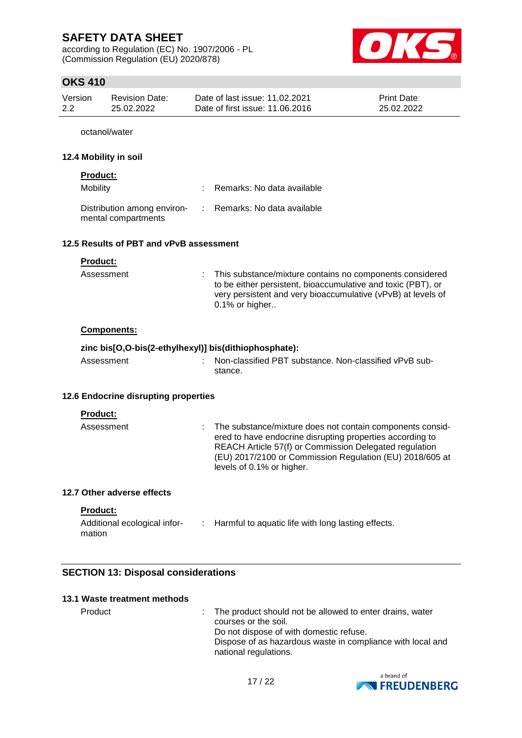according to Regulation (EC) No. 1907/2006 - PL (Commission Regulation (EU) 2020/878)



## **OKS 410**

| Version | Revision Date: | Date of last issue: 11.02.2021  | <b>Print Date:</b> |
|---------|----------------|---------------------------------|--------------------|
| 2.2     | 25.02.2022     | Date of first issue: 11.06.2016 | 25.02.2022         |

octanol/water

#### **12.4 Mobility in soil**

### **Product:**

| Mobility                                           | : Remarks: No data available |
|----------------------------------------------------|------------------------------|
| Distribution among environ-<br>mental compartments | : Remarks: No data available |

#### **12.5 Results of PBT and vPvB assessment**

| <b>Product:</b> |                                                                                                                                                                                                                 |
|-----------------|-----------------------------------------------------------------------------------------------------------------------------------------------------------------------------------------------------------------|
| Assessment      | : This substance/mixture contains no components considered<br>to be either persistent, bioaccumulative and toxic (PBT), or<br>very persistent and very bioaccumulative (vPvB) at levels of<br>$0.1\%$ or higher |

### **Components:**

### **zinc bis[O,O-bis(2-ethylhexyl)] bis(dithiophosphate):**

| Assessment | : Non-classified PBT substance. Non-classified vPvB sub- |
|------------|----------------------------------------------------------|
|            | stance.                                                  |

### **12.6 Endocrine disrupting properties**

#### **Product:**

| Assessment | : The substance/mixture does not contain components consid-<br>ered to have endocrine disrupting properties according to<br>REACH Article 57(f) or Commission Delegated regulation<br>(EU) 2017/2100 or Commission Regulation (EU) 2018/605 at |
|------------|------------------------------------------------------------------------------------------------------------------------------------------------------------------------------------------------------------------------------------------------|
|            | levels of 0.1% or higher.                                                                                                                                                                                                                      |

#### **12.7 Other adverse effects**

#### **Product:**

| Additional ecological infor- | Harmful to aquatic life with long lasting effects. |
|------------------------------|----------------------------------------------------|
| mation                       |                                                    |

### **SECTION 13: Disposal considerations**

| 13.1 Waste treatment methods |                                                                                    |
|------------------------------|------------------------------------------------------------------------------------|
| Product                      | : The product should not be allowed to enter drains, water<br>courses or the soil. |
|                              | Do not dispose of with domestic refuse.                                            |
|                              | Disposo of as hazardous waste in compliance with local a                           |

Dispose of as hazardous waste in compliance with local and national regulations.

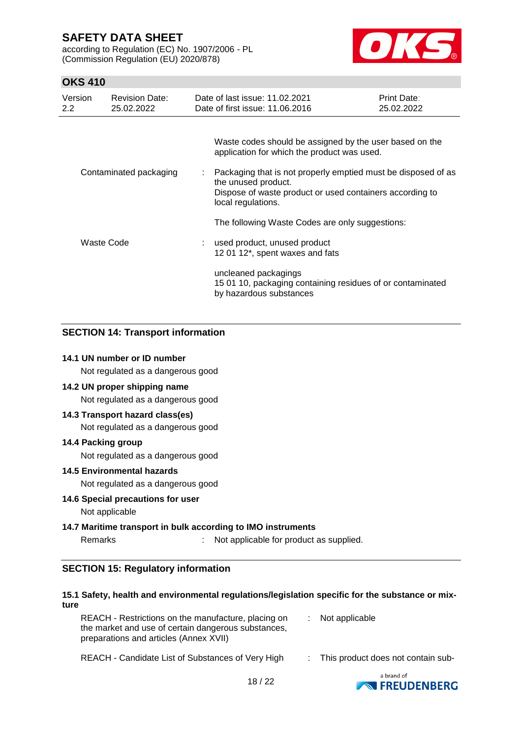according to Regulation (EC) No. 1907/2006 - PL (Commission Regulation (EU) 2020/878)



## **OKS 410**

| Version<br>$2.2^{\circ}$ | <b>Revision Date:</b><br>25.02.2022 |    | Date of last issue: 11.02.2021<br>Date of first issue: 11.06.2016                                                                                                      | Print Date:<br>25.02.2022 |  |  |
|--------------------------|-------------------------------------|----|------------------------------------------------------------------------------------------------------------------------------------------------------------------------|---------------------------|--|--|
|                          |                                     |    | Waste codes should be assigned by the user based on the<br>application for which the product was used.                                                                 |                           |  |  |
| Contaminated packaging   |                                     | t. | Packaging that is not properly emptied must be disposed of as<br>the unused product.<br>Dispose of waste product or used containers according to<br>local regulations. |                           |  |  |
|                          |                                     |    | The following Waste Codes are only suggestions:                                                                                                                        |                           |  |  |
| Waste Code               |                                     |    | used product, unused product<br>12 01 12*, spent waxes and fats                                                                                                        |                           |  |  |
|                          |                                     |    | uncleaned packagings<br>15 01 10, packaging containing residues of or contaminated<br>by hazardous substances                                                          |                           |  |  |

### **SECTION 14: Transport information**

### **14.1 UN number or ID number**

Not regulated as a dangerous good

### **14.2 UN proper shipping name**

Not regulated as a dangerous good

### **14.3 Transport hazard class(es)**

Not regulated as a dangerous good

### **14.4 Packing group**

Not regulated as a dangerous good

### **14.5 Environmental hazards**

Not regulated as a dangerous good

### **14.6 Special precautions for user**

Not applicable

### **14.7 Maritime transport in bulk according to IMO instruments**

Remarks : Not applicable for product as supplied.

### **SECTION 15: Regulatory information**

#### **15.1 Safety, health and environmental regulations/legislation specific for the substance or mixture**

| REACH - Restrictions on the manufacture, placing on | $\therefore$ Not applicable |
|-----------------------------------------------------|-----------------------------|
| the market and use of certain dangerous substances, |                             |
| preparations and articles (Annex XVII)              |                             |

| REACH - Candidate List of Substances of Very High |  | This product does not contain sub- |
|---------------------------------------------------|--|------------------------------------|
|---------------------------------------------------|--|------------------------------------|

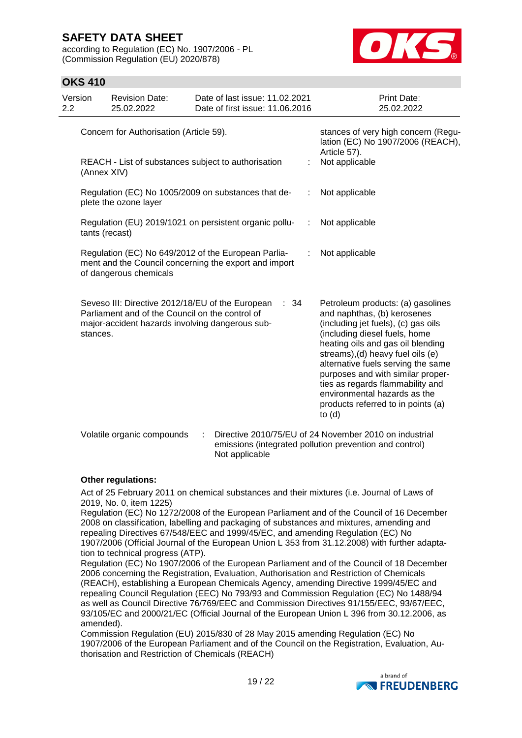according to Regulation (EC) No. 1907/2006 - PL (Commission Regulation (EU) 2020/878)



## **OKS 410**

| Version<br>2.2 |                                         | <b>Revision Date:</b><br>25.02.2022             | Date of last issue: 11.02.2021<br>Date of first issue: 11.06.2016                                            |   | <b>Print Date:</b><br>25.02.2022                                                                                                                                                                                                                                                                                                                                                                                    |
|----------------|-----------------------------------------|-------------------------------------------------|--------------------------------------------------------------------------------------------------------------|---|---------------------------------------------------------------------------------------------------------------------------------------------------------------------------------------------------------------------------------------------------------------------------------------------------------------------------------------------------------------------------------------------------------------------|
|                | Concern for Authorisation (Article 59). |                                                 |                                                                                                              |   | stances of very high concern (Regu-<br>lation (EC) No 1907/2006 (REACH),<br>Article 57).                                                                                                                                                                                                                                                                                                                            |
|                | (Annex XIV)                             |                                                 | REACH - List of substances subject to authorisation                                                          |   | Not applicable                                                                                                                                                                                                                                                                                                                                                                                                      |
|                |                                         | plete the ozone layer                           | Regulation (EC) No 1005/2009 on substances that de-                                                          |   | Not applicable                                                                                                                                                                                                                                                                                                                                                                                                      |
|                | tants (recast)                          |                                                 | Regulation (EU) 2019/1021 on persistent organic pollu-                                                       | ÷ | Not applicable                                                                                                                                                                                                                                                                                                                                                                                                      |
|                |                                         | of dangerous chemicals                          | Regulation (EC) No 649/2012 of the European Parlia-<br>ment and the Council concerning the export and import |   | Not applicable                                                                                                                                                                                                                                                                                                                                                                                                      |
|                | stances.                                | Parliament and of the Council on the control of | Seveso III: Directive 2012/18/EU of the European<br>- 34<br>major-accident hazards involving dangerous sub-  |   | Petroleum products: (a) gasolines<br>and naphthas, (b) kerosenes<br>(including jet fuels), (c) gas oils<br>(including diesel fuels, home<br>heating oils and gas oil blending<br>streams), (d) heavy fuel oils (e)<br>alternative fuels serving the same<br>purposes and with similar proper-<br>ties as regards flammability and<br>environmental hazards as the<br>products referred to in points (a)<br>to $(d)$ |
|                |                                         | Volatile organic compounds                      | ÷<br>Not applicable                                                                                          |   | Directive 2010/75/EU of 24 November 2010 on industrial<br>emissions (integrated pollution prevention and control)                                                                                                                                                                                                                                                                                                   |

#### **Other regulations:**

Act of 25 February 2011 on chemical substances and their mixtures (i.e. Journal of Laws of 2019, No. 0, item 1225)

Regulation (EC) No 1272/2008 of the European Parliament and of the Council of 16 December 2008 on classification, labelling and packaging of substances and mixtures, amending and repealing Directives 67/548/EEC and 1999/45/EC, and amending Regulation (EC) No 1907/2006 (Official Journal of the European Union L 353 from 31.12.2008) with further adaptation to technical progress (ATP).

Regulation (EC) No 1907/2006 of the European Parliament and of the Council of 18 December 2006 concerning the Registration, Evaluation, Authorisation and Restriction of Chemicals (REACH), establishing a European Chemicals Agency, amending Directive 1999/45/EC and repealing Council Regulation (EEC) No 793/93 and Commission Regulation (EC) No 1488/94 as well as Council Directive 76/769/EEC and Commission Directives 91/155/EEC, 93/67/EEC, 93/105/EC and 2000/21/EC (Official Journal of the European Union L 396 from 30.12.2006, as amended).

Commission Regulation (EU) 2015/830 of 28 May 2015 amending Regulation (EC) No 1907/2006 of the European Parliament and of the Council on the Registration, Evaluation, Authorisation and Restriction of Chemicals (REACH)

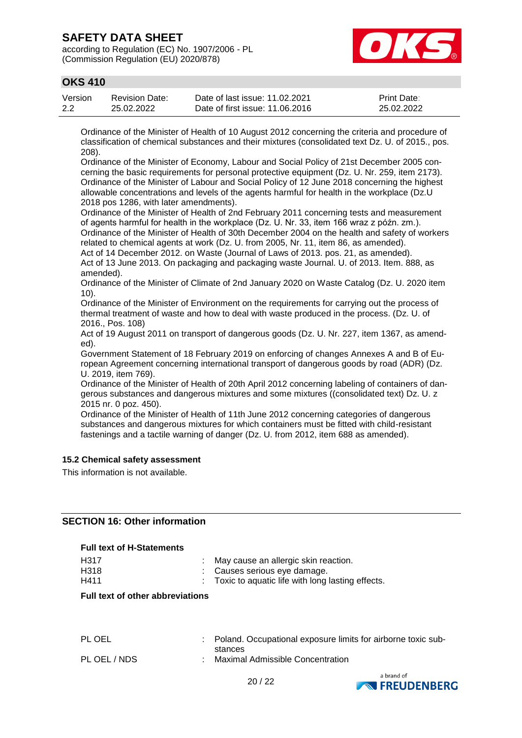according to Regulation (EC) No. 1907/2006 - PL (Commission Regulation (EU) 2020/878)



## **OKS 410**

| Version | Revision Date: | Date of last issue: 11.02.2021  | <b>Print Date:</b> |
|---------|----------------|---------------------------------|--------------------|
| 2.2     | 25.02.2022     | Date of first issue: 11,06,2016 | 25.02.2022         |

Ordinance of the Minister of Health of 10 August 2012 concerning the criteria and procedure of classification of chemical substances and their mixtures (consolidated text Dz. U. of 2015., pos. 208).

Ordinance of the Minister of Economy, Labour and Social Policy of 21st December 2005 concerning the basic requirements for personal protective equipment (Dz. U. Nr. 259, item 2173). Ordinance of the Minister of Labour and Social Policy of 12 June 2018 concerning the highest allowable concentrations and levels of the agents harmful for health in the workplace (Dz.U 2018 pos 1286, with later amendments).

Ordinance of the Minister of Health of 2nd February 2011 concerning tests and measurement of agents harmful for health in the workplace (Dz. U. Nr. 33, item 166 wraz z późn. zm.). Ordinance of the Minister of Health of 30th December 2004 on the health and safety of workers related to chemical agents at work (Dz. U. from 2005, Nr. 11, item 86, as amended).

Act of 14 December 2012. on Waste (Journal of Laws of 2013. pos. 21, as amended). Act of 13 June 2013. On packaging and packaging waste Journal. U. of 2013. Item. 888, as amended).

Ordinance of the Minister of Climate of 2nd January 2020 on Waste Catalog (Dz. U. 2020 item 10).

Ordinance of the Minister of Environment on the requirements for carrying out the process of thermal treatment of waste and how to deal with waste produced in the process. (Dz. U. of 2016., Pos. 108)

Act of 19 August 2011 on transport of dangerous goods (Dz. U. Nr. 227, item 1367, as amended).

Government Statement of 18 February 2019 on enforcing of changes Annexes A and B of European Agreement concerning international transport of dangerous goods by road (ADR) (Dz. U. 2019, item 769).

Ordinance of the Minister of Health of 20th April 2012 concerning labeling of containers of dangerous substances and dangerous mixtures and some mixtures ((consolidated text) Dz. U. z 2015 nr. 0 poz. 450).

Ordinance of the Minister of Health of 11th June 2012 concerning categories of dangerous substances and dangerous mixtures for which containers must be fitted with child-resistant fastenings and a tactile warning of danger (Dz. U. from 2012, item 688 as amended).

### **15.2 Chemical safety assessment**

This information is not available.

### **SECTION 16: Other information**

#### **Full text of H-Statements**

| H317 | : May cause an allergic skin reaction.             |
|------|----------------------------------------------------|
| H318 | : Causes serious eve damage.                       |
| H411 | : Toxic to aquatic life with long lasting effects. |
|      |                                                    |

#### **Full text of other abbreviations**

| PL OEL       | : Poland. Occupational exposure limits for airborne toxic sub- |
|--------------|----------------------------------------------------------------|
| PL OEL / NDS | stances<br>Maximal Admissible Concentration                    |



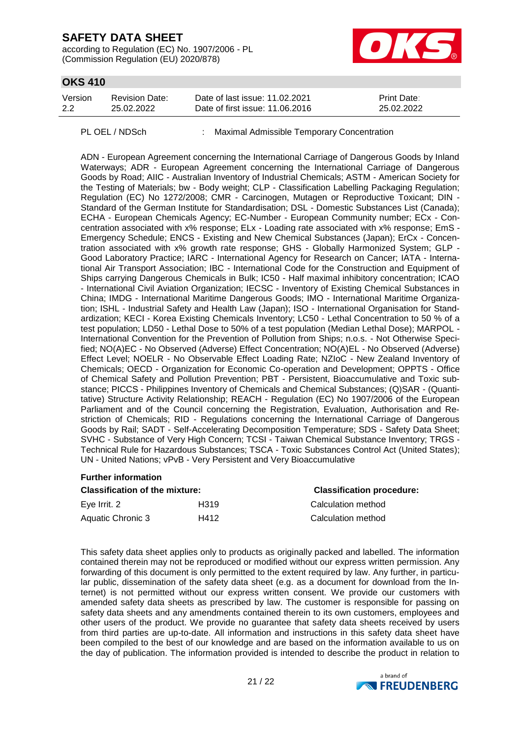according to Regulation (EC) No. 1907/2006 - PL (Commission Regulation (EU) 2020/878)



### **OKS 410**

| Version | <b>Revision Date:</b> | Date of last issue: 11.02.2021  | <b>Print Date:</b> |
|---------|-----------------------|---------------------------------|--------------------|
| 2.2     | 25.02.2022            | Date of first issue: 11.06.2016 | 25.02.2022         |

PL OEL / NDSch : Maximal Admissible Temporary Concentration

ADN - European Agreement concerning the International Carriage of Dangerous Goods by Inland Waterways; ADR - European Agreement concerning the International Carriage of Dangerous Goods by Road; AIIC - Australian Inventory of Industrial Chemicals; ASTM - American Society for the Testing of Materials; bw - Body weight; CLP - Classification Labelling Packaging Regulation; Regulation (EC) No 1272/2008; CMR - Carcinogen, Mutagen or Reproductive Toxicant; DIN - Standard of the German Institute for Standardisation; DSL - Domestic Substances List (Canada); ECHA - European Chemicals Agency; EC-Number - European Community number; ECx - Concentration associated with x% response; ELx - Loading rate associated with x% response; EmS - Emergency Schedule; ENCS - Existing and New Chemical Substances (Japan); ErCx - Concentration associated with x% growth rate response; GHS - Globally Harmonized System; GLP - Good Laboratory Practice; IARC - International Agency for Research on Cancer; IATA - International Air Transport Association; IBC - International Code for the Construction and Equipment of Ships carrying Dangerous Chemicals in Bulk; IC50 - Half maximal inhibitory concentration; ICAO - International Civil Aviation Organization; IECSC - Inventory of Existing Chemical Substances in China; IMDG - International Maritime Dangerous Goods; IMO - International Maritime Organization; ISHL - Industrial Safety and Health Law (Japan); ISO - International Organisation for Standardization; KECI - Korea Existing Chemicals Inventory; LC50 - Lethal Concentration to 50 % of a test population; LD50 - Lethal Dose to 50% of a test population (Median Lethal Dose); MARPOL - International Convention for the Prevention of Pollution from Ships; n.o.s. - Not Otherwise Specified; NO(A)EC - No Observed (Adverse) Effect Concentration; NO(A)EL - No Observed (Adverse) Effect Level; NOELR - No Observable Effect Loading Rate; NZIoC - New Zealand Inventory of Chemicals; OECD - Organization for Economic Co-operation and Development; OPPTS - Office of Chemical Safety and Pollution Prevention; PBT - Persistent, Bioaccumulative and Toxic substance; PICCS - Philippines Inventory of Chemicals and Chemical Substances; (Q)SAR - (Quantitative) Structure Activity Relationship; REACH - Regulation (EC) No 1907/2006 of the European Parliament and of the Council concerning the Registration, Evaluation, Authorisation and Restriction of Chemicals; RID - Regulations concerning the International Carriage of Dangerous Goods by Rail; SADT - Self-Accelerating Decomposition Temperature; SDS - Safety Data Sheet; SVHC - Substance of Very High Concern; TCSI - Taiwan Chemical Substance Inventory; TRGS - Technical Rule for Hazardous Substances; TSCA - Toxic Substances Control Act (United States); UN - United Nations; vPvB - Very Persistent and Very Bioaccumulative

### **Further information**

| <b>Classification of the mixture:</b> | <b>Classification procedure:</b> |                    |
|---------------------------------------|----------------------------------|--------------------|
| Eye Irrit. 2                          | H319                             | Calculation method |
| Aquatic Chronic 3                     | H412                             | Calculation method |

This safety data sheet applies only to products as originally packed and labelled. The information contained therein may not be reproduced or modified without our express written permission. Any forwarding of this document is only permitted to the extent required by law. Any further, in particular public, dissemination of the safety data sheet (e.g. as a document for download from the Internet) is not permitted without our express written consent. We provide our customers with amended safety data sheets as prescribed by law. The customer is responsible for passing on safety data sheets and any amendments contained therein to its own customers, employees and other users of the product. We provide no guarantee that safety data sheets received by users from third parties are up-to-date. All information and instructions in this safety data sheet have been compiled to the best of our knowledge and are based on the information available to us on the day of publication. The information provided is intended to describe the product in relation to